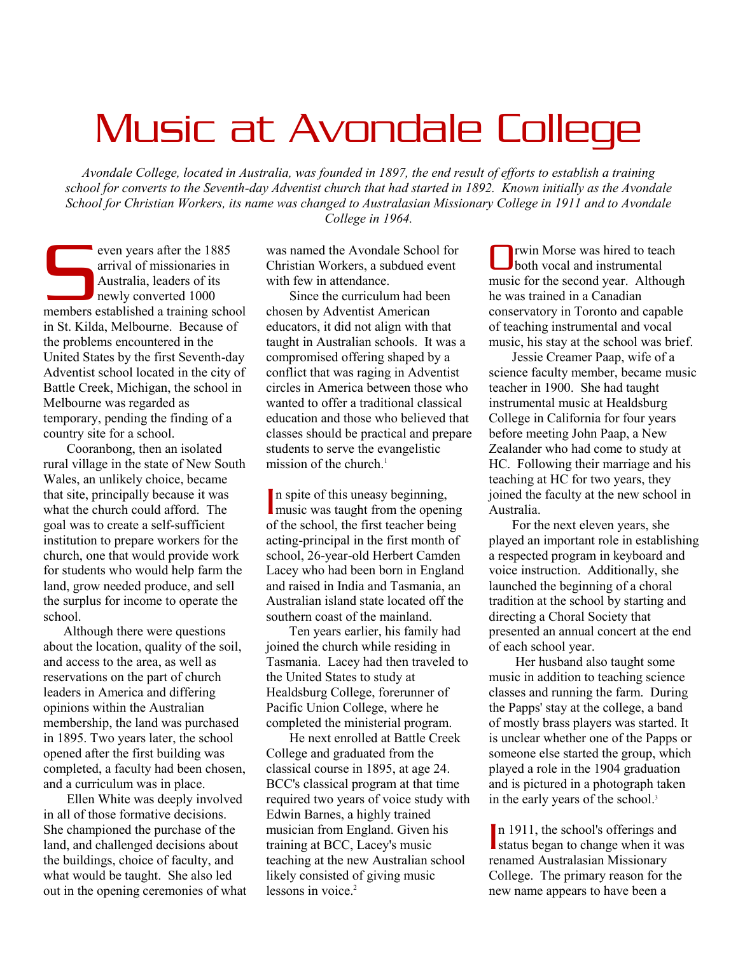# Music at Avondale College

*Avondale College, located in Australia, was founded in 1897, the end result of efforts to establish a training school for converts to the Seventh-day Adventist church that had started in 1892. Known initially as the Avondale School for Christian Workers, its name was changed to Australasian Missionary College in 1911 and to Avondale College in 1964.* 

even years after the 1885 arrival of missionaries in Australia, leaders of its newly converted 1000 even years after the 1885<br>
arrival of missionaries in<br>
Australia, leaders of its<br>
newly converted 1000<br>
members established a training school in St. Kilda, Melbourne. Because of the problems encountered in the United States by the first Seventh-day Adventist school located in the city of Battle Creek, Michigan, the school in Melbourne was regarded as temporary, pending the finding of a country site for a school.

 Cooranbong, then an isolated rural village in the state of New South Wales, an unlikely choice, became that site, principally because it was what the church could afford. The goal was to create a self-sufficient institution to prepare workers for the church, one that would provide work for students who would help farm the land, grow needed produce, and sell the surplus for income to operate the school.

 Although there were questions about the location, quality of the soil, and access to the area, as well as reservations on the part of church leaders in America and differing opinions within the Australian membership, the land was purchased in 1895. Two years later, the school opened after the first building was completed, a faculty had been chosen, and a curriculum was in place.

 Ellen White was deeply involved in all of those formative decisions. She championed the purchase of the land, and challenged decisions about the buildings, choice of faculty, and what would be taught. She also led out in the opening ceremonies of what was named the Avondale School for Christian Workers, a subdued event with few in attendance

 Since the curriculum had been chosen by Adventist American educators, it did not align with that taught in Australian schools. It was a compromised offering shaped by a conflict that was raging in Adventist circles in America between those who wanted to offer a traditional classical education and those who believed that classes should be practical and prepare students to serve the evangelistic mission of the church. $<sup>1</sup>$ </sup>

n spite of this uneasy beginning, In spite of this uneasy beginning,<br>music was taught from the opening of the school, the first teacher being acting-principal in the first month of school, 26-year-old Herbert Camden Lacey who had been born in England and raised in India and Tasmania, an Australian island state located off the southern coast of the mainland.

 Ten years earlier, his family had joined the church while residing in Tasmania. Lacey had then traveled to the United States to study at Healdsburg College, forerunner of Pacific Union College, where he completed the ministerial program.

 He next enrolled at Battle Creek College and graduated from the classical course in 1895, at age 24. BCC's classical program at that time required two years of voice study with Edwin Barnes, a highly trained musician from England. Given his training at BCC, Lacey's music teaching at the new Australian school likely consisted of giving music lessons in voice.<sup>2</sup>

rwin Morse was hired to teach both vocal and instrumental music for the second year. Although he was trained in a Canadian conservatory in Toronto and capable of teaching instrumental and vocal music, his stay at the school was brief. O

 Jessie Creamer Paap, wife of a science faculty member, became music teacher in 1900. She had taught instrumental music at Healdsburg College in California for four years before meeting John Paap, a New Zealander who had come to study at HC. Following their marriage and his teaching at HC for two years, they joined the faculty at the new school in Australia.

 For the next eleven years, she played an important role in establishing a respected program in keyboard and voice instruction. Additionally, she launched the beginning of a choral tradition at the school by starting and directing a Choral Society that presented an annual concert at the end of each school year.

 Her husband also taught some music in addition to teaching science classes and running the farm. During the Papps' stay at the college, a band of mostly brass players was started. It is unclear whether one of the Papps or someone else started the group, which played a role in the 1904 graduation and is pictured in a photograph taken in the early years of the school.<sup>3</sup>

In 1911, the school's offerings and In 1911, the school's offerings and<br>status began to change when it was renamed Australasian Missionary College. The primary reason for the new name appears to have been a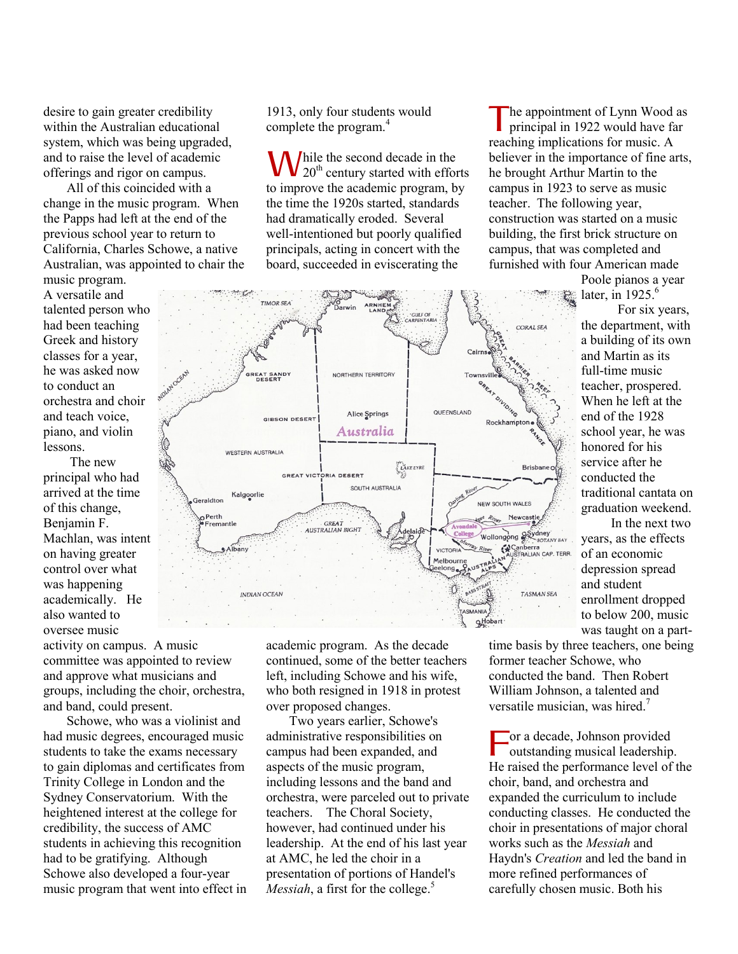desire to gain greater credibility within the Australian educational system, which was being upgraded, and to raise the level of academic offerings and rigor on campus.

 All of this coincided with a change in the music program. When the Papps had left at the end of the previous school year to return to California, Charles Schowe, a native Australian, was appointed to chair the

music program. A versatile and talented person who had been teaching Greek and history classes for a year, he was asked now to conduct an orchestra and choir and teach voice, piano, and violin lessons.

 The new principal who had arrived at the time of this change, Benjamin F. Machlan, was intent on having greater control over what was happening academically. He also wanted to oversee music

activity on campus. A music committee was appointed to review and approve what musicians and groups, including the choir, orchestra, and band, could present.

 Schowe, who was a violinist and had music degrees, encouraged music students to take the exams necessary to gain diplomas and certificates from Trinity College in London and the Sydney Conservatorium. With the heightened interest at the college for credibility, the success of AMC students in achieving this recognition had to be gratifying. Although Schowe also developed a four-year music program that went into effect in 1913, only four students would complete the program.<sup>4</sup>

hile the second decade in the 20<sup>th</sup> century started with efforts to improve the academic program, by the time the 1920s started, standards had dramatically eroded. Several well-intentioned but poorly qualified principals, acting in concert with the board, succeeded in eviscerating the W

he appointment of Lynn Wood as principal in 1922 would have far reaching implications for music. A believer in the importance of fine arts, he brought Arthur Martin to the campus in 1923 to serve as music teacher. The following year, construction was started on a music building, the first brick structure on campus, that was completed and furnished with four American made T

> Poole pianos a year later, in  $1925$ .<sup>6</sup>

 For six years, the department, with a building of its own and Martin as its full-time music teacher, prospered. When he left at the end of the 1928 school year, he was honored for his service after he conducted the traditional cantata on graduation weekend.

 In the next two years, as the effects of an economic depression spread and student enrollment dropped to below 200, music was taught on a part-

academic program. As the decade continued, some of the better teachers left, including Schowe and his wife, who both resigned in 1918 in protest over proposed changes.

 Two years earlier, Schowe's administrative responsibilities on campus had been expanded, and aspects of the music program, including lessons and the band and orchestra, were parceled out to private teachers. The Choral Society, however, had continued under his leadership. At the end of his last year at AMC, he led the choir in a presentation of portions of Handel's *Messiah*, a first for the college.<sup>5</sup>

time basis by three teachers, one being former teacher Schowe, who conducted the band. Then Robert William Johnson, a talented and versatile musician, was hired.<sup>7</sup>

or a decade, Johnson provided outstanding musical leadership. He raised the performance level of the choir, band, and orchestra and expanded the curriculum to include conducting classes. He conducted the choir in presentations of major choral works such as the *Messiah* and Haydn's *Creation* and led the band in more refined performances of carefully chosen music. Both his F

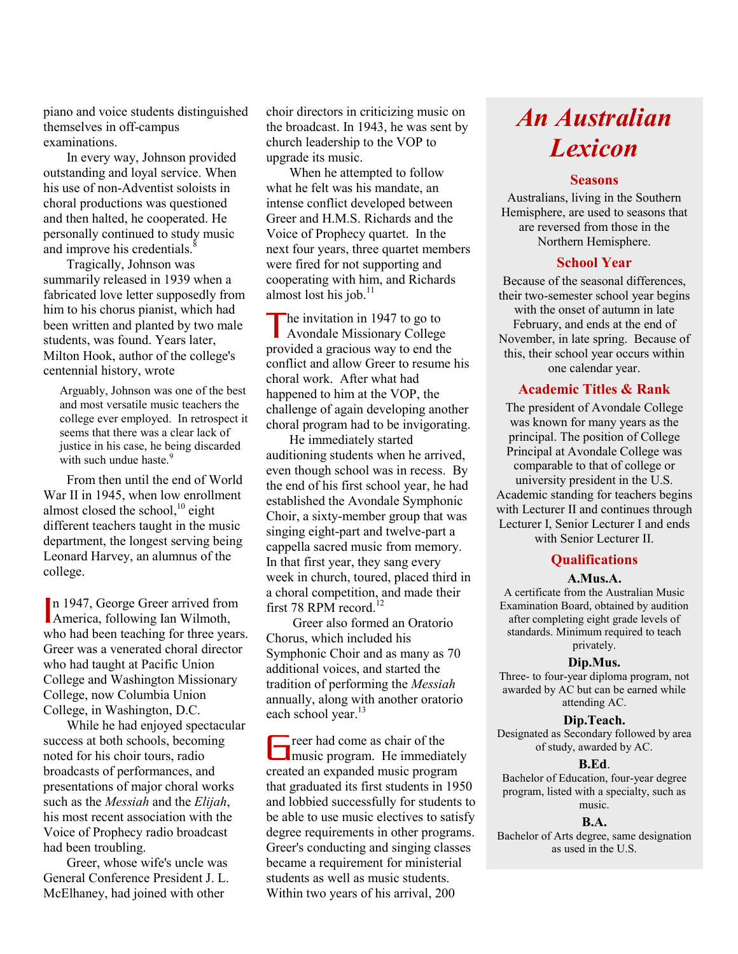piano and voice students distinguished themselves in off-campus examinations.

 In every way, Johnson provided outstanding and loyal service. When his use of non-Adventist soloists in choral productions was questioned and then halted, he cooperated. He personally continued to study music and improve his credentials.<sup>8</sup>

 Tragically, Johnson was summarily released in 1939 when a fabricated love letter supposedly from him to his chorus pianist, which had been written and planted by two male students, was found. Years later, Milton Hook, author of the college's centennial history, wrote

Arguably, Johnson was one of the best and most versatile music teachers the college ever employed. In retrospect it seems that there was a clear lack of justice in his case, he being discarded with such undue haste.<sup>9</sup>

 From then until the end of World War II in 1945, when low enrollment almost closed the school, <sup>10</sup> eight different teachers taught in the music department, the longest serving being Leonard Harvey, an alumnus of the college.

n 1947, George Greer arrived from n 1947, George Greer arrived from<br>America, following Ian Wilmoth, who had been teaching for three years. Greer was a venerated choral director who had taught at Pacific Union College and Washington Missionary College, now Columbia Union College, in Washington, D.C.

 While he had enjoyed spectacular success at both schools, becoming noted for his choir tours, radio broadcasts of performances, and presentations of major choral works such as the *Messiah* and the *Elijah*, his most recent association with the Voice of Prophecy radio broadcast had been troubling.

 Greer, whose wife's uncle was General Conference President J. L. McElhaney, had joined with other

choir directors in criticizing music on the broadcast. In 1943, he was sent by church leadership to the VOP to upgrade its music.

 When he attempted to follow what he felt was his mandate, an intense conflict developed between Greer and H.M.S. Richards and the Voice of Prophecy quartet. In the next four years, three quartet members were fired for not supporting and cooperating with him, and Richards almost lost his job. $11$ 

he invitation in 1947 to go to The invitation in 1947 to go to<br>Avondale Missionary College provided a gracious way to end the conflict and allow Greer to resume his choral work. After what had happened to him at the VOP, the challenge of again developing another choral program had to be invigorating.

 He immediately started auditioning students when he arrived, even though school was in recess. By the end of his first school year, he had established the Avondale Symphonic Choir, a sixty-member group that was singing eight-part and twelve-part a cappella sacred music from memory. In that first year, they sang every week in church, toured, placed third in a choral competition, and made their first 78 RPM record.<sup>12</sup>

 Greer also formed an Oratorio Chorus, which included his Symphonic Choir and as many as 70 additional voices, and started the tradition of performing the *Messiah* annually, along with another oratorio each school year.<sup>13</sup>

reer had come as chair of the The reer had come as chair of the music program. He immediately created an expanded music program that graduated its first students in 1950 and lobbied successfully for students to be able to use music electives to satisfy degree requirements in other programs. Greer's conducting and singing classes became a requirement for ministerial students as well as music students. Within two years of his arrival, 200

# *An Australian Lexicon*

# **Seasons**

Australians, living in the Southern Hemisphere, are used to seasons that are reversed from those in the Northern Hemisphere.

# **School Year**

Because of the seasonal differences, their two-semester school year begins with the onset of autumn in late February, and ends at the end of November, in late spring. Because of this, their school year occurs within one calendar year.

# **Academic Titles & Rank**

The president of Avondale College was known for many years as the principal. The position of College Principal at Avondale College was comparable to that of college or university president in the U.S. Academic standing for teachers begins with Lecturer II and continues through Lecturer I, Senior Lecturer I and ends with Senior Lecturer II.

# **Qualifications**

#### **A.Mus.A.**

A certificate from the Australian Music Examination Board, obtained by audition after completing eight grade levels of standards. Minimum required to teach privately.

# **Dip.Mus.**

Three- to four-year diploma program, not awarded by AC but can be earned while attending AC.

#### **Dip.Teach.**

Designated as Secondary followed by area of study, awarded by AC.

#### **B.Ed**.

Bachelor of Education, four-year degree program, listed with a specialty, such as music.

#### **B.A.**

Bachelor of Arts degree, same designation as used in the U.S.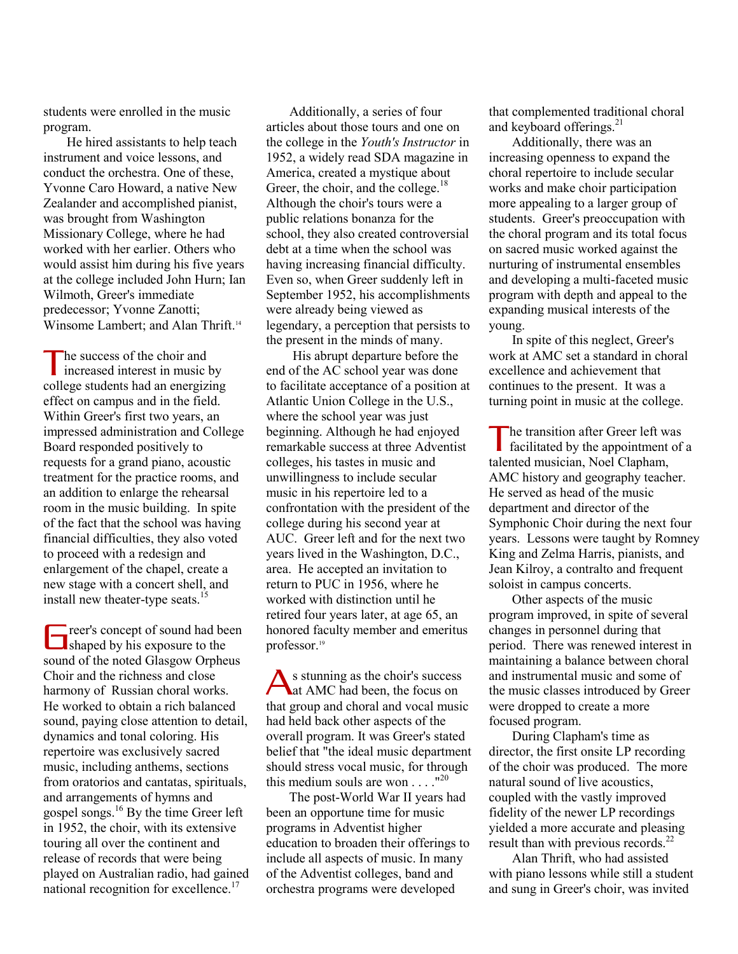students were enrolled in the music program.

 He hired assistants to help teach instrument and voice lessons, and conduct the orchestra. One of these, Yvonne Caro Howard, a native New Zealander and accomplished pianist, was brought from Washington Missionary College, where he had worked with her earlier. Others who would assist him during his five years at the college included John Hurn; Ian Wilmoth, Greer's immediate predecessor; Yvonne Zanotti; Winsome Lambert; and Alan Thrift.<sup>14</sup>

he success of the choir and The success of the choir and<br>increased interest in music by college students had an energizing effect on campus and in the field. Within Greer's first two years, an impressed administration and College Board responded positively to requests for a grand piano, acoustic treatment for the practice rooms, and an addition to enlarge the rehearsal room in the music building. In spite of the fact that the school was having financial difficulties, they also voted to proceed with a redesign and enlargement of the chapel, create a new stage with a concert shell, and install new theater-type seats.<sup>15</sup>

reer's concept of sound had been The reer's concept of sound had be shaped by his exposure to the sound of the noted Glasgow Orpheus Choir and the richness and close harmony of Russian choral works. He worked to obtain a rich balanced sound, paying close attention to detail, dynamics and tonal coloring. His repertoire was exclusively sacred music, including anthems, sections from oratorios and cantatas, spirituals, and arrangements of hymns and gospel songs. $^{16}$  By the time Greer left in 1952, the choir, with its extensive touring all over the continent and release of records that were being played on Australian radio, had gained national recognition for excellence.<sup>17</sup>

 Additionally, a series of four articles about those tours and one on the college in the *Youth's Instructor* in 1952, a widely read SDA magazine in America, created a mystique about Greer, the choir, and the college.<sup>18</sup> Although the choir's tours were a public relations bonanza for the school, they also created controversial debt at a time when the school was having increasing financial difficulty. Even so, when Greer suddenly left in September 1952, his accomplishments were already being viewed as legendary, a perception that persists to the present in the minds of many.

 His abrupt departure before the end of the AC school year was done to facilitate acceptance of a position at Atlantic Union College in the U.S., where the school year was just beginning. Although he had enjoyed remarkable success at three Adventist colleges, his tastes in music and unwillingness to include secular music in his repertoire led to a confrontation with the president of the college during his second year at AUC. Greer left and for the next two years lived in the Washington, D.C., area. He accepted an invitation to return to PUC in 1956, where he worked with distinction until he retired four years later, at age 65, an honored faculty member and emeritus professor.<sup>19</sup>

s stunning as the choir's success S stunning as the choir's success<br>at AMC had been, the focus on that group and choral and vocal music had held back other aspects of the overall program. It was Greer's stated belief that "the ideal music department should stress vocal music, for through this medium souls are won  $\dots$ ."<sup>20</sup>

 The post-World War II years had been an opportune time for music programs in Adventist higher education to broaden their offerings to include all aspects of music. In many of the Adventist colleges, band and orchestra programs were developed

that complemented traditional choral and keyboard offerings.<sup>21</sup>

 Additionally, there was an increasing openness to expand the choral repertoire to include secular works and make choir participation more appealing to a larger group of students. Greer's preoccupation with the choral program and its total focus on sacred music worked against the nurturing of instrumental ensembles and developing a multi-faceted music program with depth and appeal to the expanding musical interests of the young.

 In spite of this neglect, Greer's work at AMC set a standard in choral excellence and achievement that continues to the present. It was a turning point in music at the college.

he transition after Greer left was facilitated by the appointment of a The transition after Greer left was<br>facilitated by the appointment<br>talented musician, Noel Clapham, AMC history and geography teacher. He served as head of the music department and director of the Symphonic Choir during the next four years. Lessons were taught by Romney King and Zelma Harris, pianists, and Jean Kilroy, a contralto and frequent soloist in campus concerts.

 Other aspects of the music program improved, in spite of several changes in personnel during that period. There was renewed interest in maintaining a balance between choral and instrumental music and some of the music classes introduced by Greer were dropped to create a more focused program.

 During Clapham's time as director, the first onsite LP recording of the choir was produced. The more natural sound of live acoustics, coupled with the vastly improved fidelity of the newer LP recordings yielded a more accurate and pleasing result than with previous records.<sup>22</sup>

 Alan Thrift, who had assisted with piano lessons while still a student and sung in Greer's choir, was invited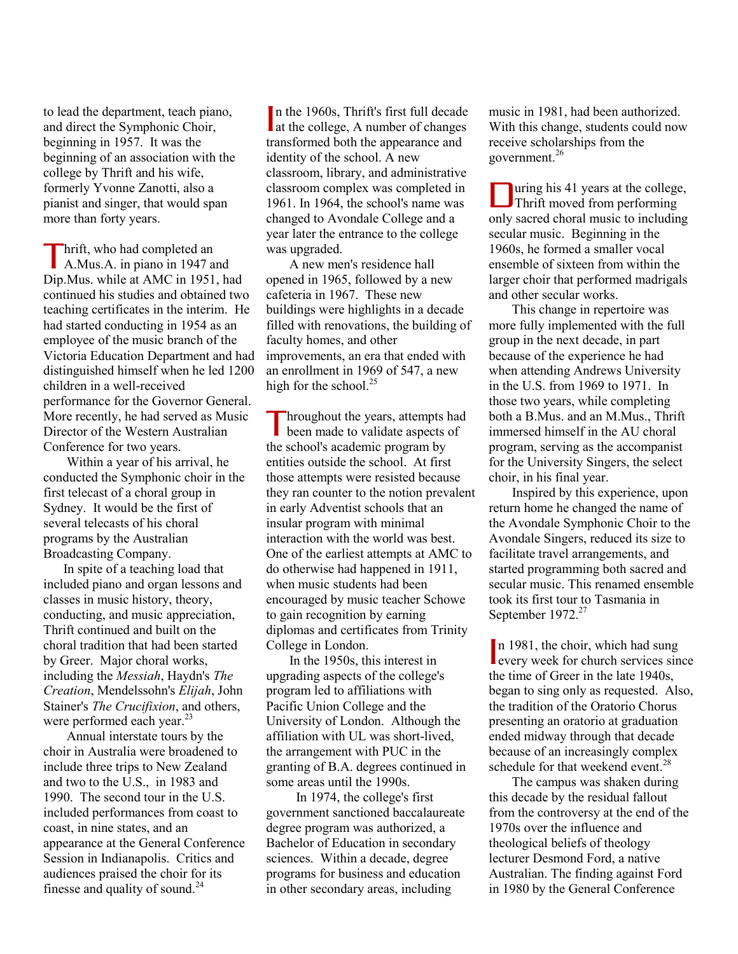to lead the department, teach piano, and direct the Symphonic Choir, beginning in 1957. It was the beginning of an association with the college by Thrift and his wife, formerly Yvonne Zanotti, also a pianist and singer, that would span more than forty years.

**Thrift**, who had completed an <br>A.Mus.A. in piano in 1947 a A.Mus.A. in piano in 1947 and Dip.Mus. while at AMC in 1951, had continued his studies and obtained two teaching certificates in the interim. He had started conducting in 1954 as an employee of the music branch of the Victoria Education Department and had distinguished himself when he led 1200 children in a well-received performance for the Governor General. More recently, he had served as Music Director of the Western Australian Conference for two years.

 Within a year of his arrival, he conducted the Symphonic choir in the first telecast of a choral group in Sydney. It would be the first of several telecasts of his choral programs by the Australian Broadcasting Company.

 In spite of a teaching load that included piano and organ lessons and classes in music history, theory, conducting, and music appreciation, Thrift continued and built on the choral tradition that had been started by Greer. Major choral works, including the *Messiah*, Haydn's *The Creation*, Mendelssohn's *Elijah*, John Stainer's *The Crucifixion*, and others, were performed each year.<sup>23</sup>

 Annual interstate tours by the choir in Australia were broadened to include three trips to New Zealand and two to the U.S., in 1983 and 1990. The second tour in the U.S. included performances from coast to coast, in nine states, and an appearance at the General Conference Session in Indianapolis. Critics and audiences praised the choir for its finesse and quality of sound.<sup>24</sup>

n the 1960s, Thrift's first full decade In the 1960s, Thrift's first full decade<br>at the college, A number of changes transformed both the appearance and identity of the school. A new classroom, library, and administrative classroom complex was completed in 1961. In 1964, the school's name was changed to Avondale College and a year later the entrance to the college was upgraded.

 A new men's residence hall opened in 1965, followed by a new cafeteria in 1967. These new buildings were highlights in a decade filled with renovations, the building of faculty homes, and other improvements, an era that ended with an enrollment in 1969 of 547, a new high for the school.<sup>25</sup>

hroughout the years, attempts had been made to validate aspects of the school's academic program by entities outside the school. At first those attempts were resisted because they ran counter to the notion prevalent in early Adventist schools that an insular program with minimal interaction with the world was best. One of the earliest attempts at AMC to do otherwise had happened in 1911, when music students had been encouraged by music teacher Schowe to gain recognition by earning diplomas and certificates from Trinity College in London. T

 In the 1950s, this interest in upgrading aspects of the college's program led to affiliations with Pacific Union College and the University of London. Although the affiliation with UL was short-lived, the arrangement with PUC in the granting of B.A. degrees continued in some areas until the 1990s.

 In 1974, the college's first government sanctioned baccalaureate degree program was authorized, a Bachelor of Education in secondary sciences. Within a decade, degree programs for business and education in other secondary areas, including

music in 1981, had been authorized. With this change, students could now receive scholarships from the government.<sup>26</sup>

uring his 41 years at the college, Thrift moved from performing only sacred choral music to including secular music. Beginning in the 1960s, he formed a smaller vocal ensemble of sixteen from within the larger choir that performed madrigals and other secular works. D

 This change in repertoire was more fully implemented with the full group in the next decade, in part because of the experience he had when attending Andrews University in the U.S. from 1969 to 1971. In those two years, while completing both a B.Mus. and an M.Mus., Thrift immersed himself in the AU choral program, serving as the accompanist for the University Singers, the select choir, in his final year.

 Inspired by this experience, upon return home he changed the name of the Avondale Symphonic Choir to the Avondale Singers, reduced its size to facilitate travel arrangements, and started programming both sacred and secular music. This renamed ensemble took its first tour to Tasmania in September 1972.<sup>27</sup>

n 1981, the choir, which had sung In 1981, the choir, which had sung<br>
every week for church services since the time of Greer in the late 1940s, began to sing only as requested. Also, the tradition of the Oratorio Chorus presenting an oratorio at graduation ended midway through that decade because of an increasingly complex schedule for that weekend event.<sup>28</sup>

 The campus was shaken during this decade by the residual fallout from the controversy at the end of the 1970s over the influence and theological beliefs of theology lecturer Desmond Ford, a native Australian. The finding against Ford in 1980 by the General Conference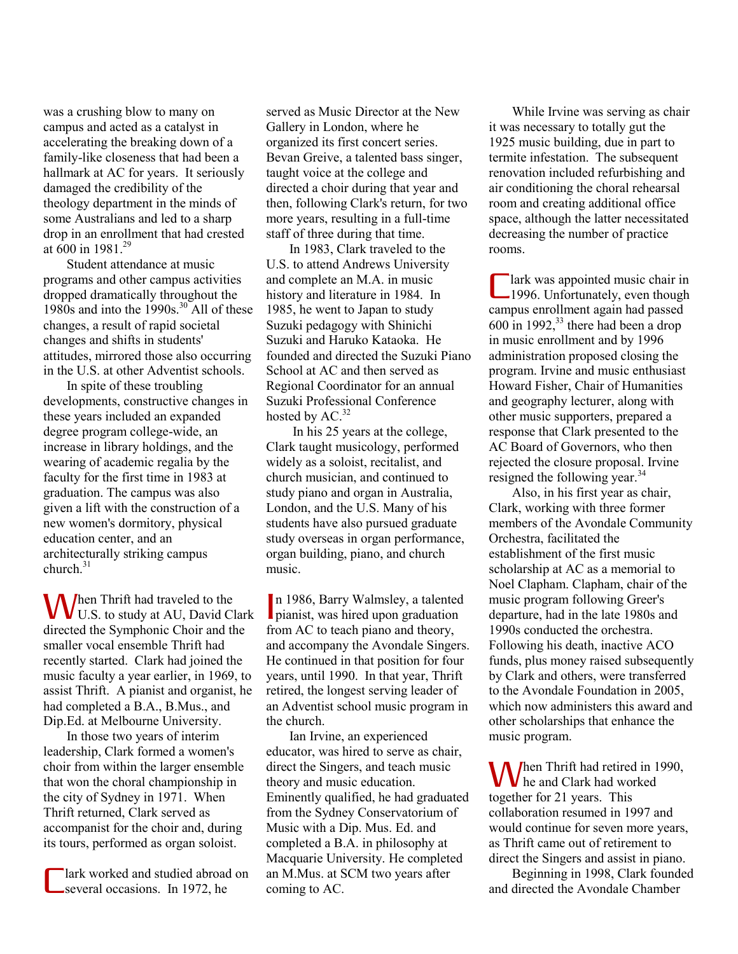was a crushing blow to many on campus and acted as a catalyst in accelerating the breaking down of a family-like closeness that had been a hallmark at AC for years. It seriously damaged the credibility of the theology department in the minds of some Australians and led to a sharp drop in an enrollment that had crested at  $600$  in 1981<sup>29</sup>

 Student attendance at music programs and other campus activities dropped dramatically throughout the 1980s and into the 1990s.<sup>30</sup> All of these changes, a result of rapid societal changes and shifts in students' attitudes, mirrored those also occurring in the U.S. at other Adventist schools.

 In spite of these troubling developments, constructive changes in these years included an expanded degree program college-wide, an increase in library holdings, and the wearing of academic regalia by the faculty for the first time in 1983 at graduation. The campus was also given a lift with the construction of a new women's dormitory, physical education center, and an architecturally striking campus church. $31$ 

hen Thrift had traveled to the **When Thrift had traveled to the U.S. to study at AU, David Clark** directed the Symphonic Choir and the smaller vocal ensemble Thrift had recently started. Clark had joined the music faculty a year earlier, in 1969, to assist Thrift. A pianist and organist, he had completed a B.A., B.Mus., and Dip.Ed. at Melbourne University.

 In those two years of interim leadership, Clark formed a women's choir from within the larger ensemble that won the choral championship in the city of Sydney in 1971. When Thrift returned, Clark served as accompanist for the choir and, during its tours, performed as organ soloist.

lark worked and studied abroad on several occasions. In 1972, he C

served as Music Director at the New Gallery in London, where he organized its first concert series. Bevan Greive, a talented bass singer, taught voice at the college and directed a choir during that year and then, following Clark's return, for two more years, resulting in a full-time staff of three during that time.

 In 1983, Clark traveled to the U.S. to attend Andrews University and complete an M.A. in music history and literature in 1984. In 1985, he went to Japan to study Suzuki pedagogy with Shinichi Suzuki and Haruko Kataoka. He founded and directed the Suzuki Piano School at AC and then served as Regional Coordinator for an annual Suzuki Professional Conference hosted by  $AC<sup>32</sup>$ 

 In his 25 years at the college, Clark taught musicology, performed widely as a soloist, recitalist, and church musician, and continued to study piano and organ in Australia, London, and the U.S. Many of his students have also pursued graduate study overseas in organ performance, organ building, piano, and church music.

n 1986, Barry Walmsley, a talented<br>pianist, was hired upon graduation **p** pianist, was hired upon graduation from AC to teach piano and theory, and accompany the Avondale Singers. He continued in that position for four years, until 1990. In that year, Thrift retired, the longest serving leader of an Adventist school music program in the church.

 Ian Irvine, an experienced educator, was hired to serve as chair, direct the Singers, and teach music theory and music education. Eminently qualified, he had graduated from the Sydney Conservatorium of Music with a Dip. Mus. Ed. and completed a B.A. in philosophy at Macquarie University. He completed an M.Mus. at SCM two years after coming to AC.

 While Irvine was serving as chair it was necessary to totally gut the 1925 music building, due in part to termite infestation. The subsequent renovation included refurbishing and air conditioning the choral rehearsal room and creating additional office space, although the latter necessitated decreasing the number of practice rooms.

lark was appointed music chair in 1996. Unfortunately, even though campus enrollment again had passed  $600 \text{ in } 1992$ ,<sup>33</sup> there had been a drop in music enrollment and by 1996 administration proposed closing the program. Irvine and music enthusiast Howard Fisher, Chair of Humanities and geography lecturer, along with other music supporters, prepared a response that Clark presented to the AC Board of Governors, who then rejected the closure proposal. Irvine resigned the following year.<sup>34</sup> C

 Also, in his first year as chair, Clark, working with three former members of the Avondale Community Orchestra, facilitated the establishment of the first music scholarship at AC as a memorial to Noel Clapham. Clapham, chair of the music program following Greer's departure, had in the late 1980s and 1990s conducted the orchestra. Following his death, inactive ACO funds, plus money raised subsequently by Clark and others, were transferred to the Avondale Foundation in 2005, which now administers this award and other scholarships that enhance the music program.

hen Thrift had retired in 1990, **W**hen Thrift had retired in 1 together for 21 years. This collaboration resumed in 1997 and would continue for seven more years, as Thrift came out of retirement to direct the Singers and assist in piano.

 Beginning in 1998, Clark founded and directed the Avondale Chamber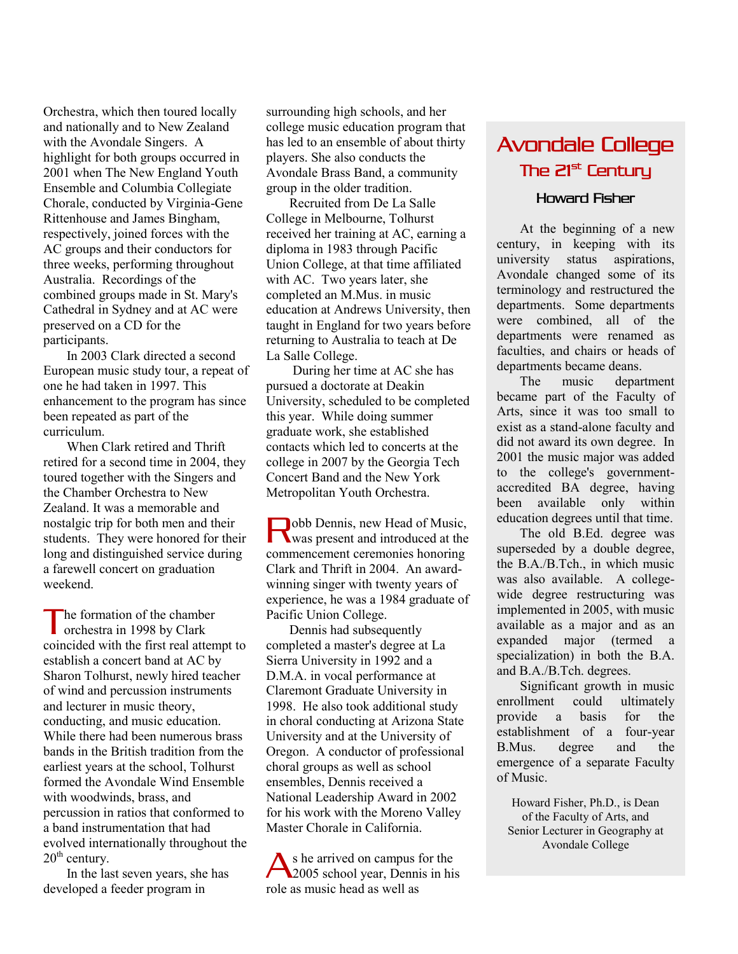Orchestra, which then toured locally and nationally and to New Zealand with the Avondale Singers. A highlight for both groups occurred in 2001 when The New England Youth Ensemble and Columbia Collegiate Chorale, conducted by Virginia-Gene Rittenhouse and James Bingham, respectively, joined forces with the AC groups and their conductors for three weeks, performing throughout Australia. Recordings of the combined groups made in St. Mary's Cathedral in Sydney and at AC were preserved on a CD for the participants.

 In 2003 Clark directed a second European music study tour, a repeat of one he had taken in 1997. This enhancement to the program has since been repeated as part of the curriculum.

 When Clark retired and Thrift retired for a second time in 2004, they toured together with the Singers and the Chamber Orchestra to New Zealand. It was a memorable and nostalgic trip for both men and their students. They were honored for their long and distinguished service during a farewell concert on graduation weekend.

he formation of the chamber The formation of the chamber orchestra in 1998 by Clark coincided with the first real attempt to establish a concert band at AC by Sharon Tolhurst, newly hired teacher of wind and percussion instruments and lecturer in music theory, conducting, and music education. While there had been numerous brass bands in the British tradition from the earliest years at the school, Tolhurst formed the Avondale Wind Ensemble with woodwinds, brass, and percussion in ratios that conformed to a band instrumentation that had evolved internationally throughout the  $20<sup>th</sup>$  century.

 In the last seven years, she has developed a feeder program in

surrounding high schools, and her college music education program that has led to an ensemble of about thirty players. She also conducts the Avondale Brass Band, a community group in the older tradition.

 Recruited from De La Salle College in Melbourne, Tolhurst received her training at AC, earning a diploma in 1983 through Pacific Union College, at that time affiliated with AC. Two years later, she completed an M.Mus. in music education at Andrews University, then taught in England for two years before returning to Australia to teach at De La Salle College.

 During her time at AC she has pursued a doctorate at Deakin University, scheduled to be completed this year. While doing summer graduate work, she established contacts which led to concerts at the college in 2007 by the Georgia Tech Concert Band and the New York Metropolitan Youth Orchestra.

obb Dennis, new Head of Music, **Nobb Dennis, new Head of Music,**<br>
was present and introduced at the commencement ceremonies honoring Clark and Thrift in 2004. An awardwinning singer with twenty years of experience, he was a 1984 graduate of Pacific Union College.

 Dennis had subsequently completed a master's degree at La Sierra University in 1992 and a D.M.A. in vocal performance at Claremont Graduate University in 1998. He also took additional study in choral conducting at Arizona State University and at the University of Oregon. A conductor of professional choral groups as well as school ensembles, Dennis received a National Leadership Award in 2002 for his work with the Moreno Valley Master Chorale in California.

s he arrived on campus for the 2005 school year, Dennis in his role as music head as well as A

# Avondale College The 21<sup>st</sup> Century

# Howard Fisher

 At the beginning of a new century, in keeping with its university status aspirations, Avondale changed some of its terminology and restructured the departments. Some departments were combined, all of the departments were renamed as faculties, and chairs or heads of departments became deans.

 The music department became part of the Faculty of Arts, since it was too small to exist as a stand-alone faculty and did not award its own degree. In 2001 the music major was added to the college's governmentaccredited BA degree, having been available only within education degrees until that time.

 The old B.Ed. degree was superseded by a double degree, the B.A./B.Tch., in which music was also available. A collegewide degree restructuring was implemented in 2005, with music available as a major and as an expanded major (termed a specialization) in both the B.A. and B.A./B.Tch. degrees.

 Significant growth in music enrollment could ultimately provide a basis for the establishment of a four-year B.Mus. degree and the emergence of a separate Faculty of Music.

Howard Fisher, Ph.D., is Dean of the Faculty of Arts, and Senior Lecturer in Geography at Avondale College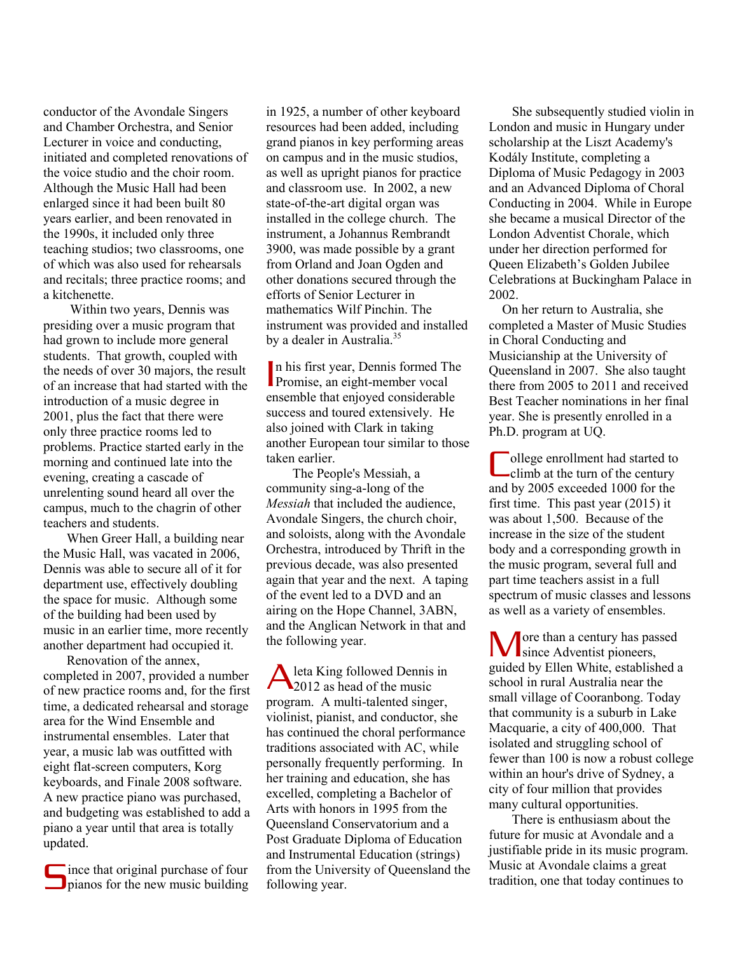conductor of the Avondale Singers and Chamber Orchestra, and Senior Lecturer in voice and conducting, initiated and completed renovations of the voice studio and the choir room. Although the Music Hall had been enlarged since it had been built 80 years earlier, and been renovated in the 1990s, it included only three teaching studios; two classrooms, one of which was also used for rehearsals and recitals; three practice rooms; and a kitchenette.

 Within two years, Dennis was presiding over a music program that had grown to include more general students. That growth, coupled with the needs of over 30 majors, the result of an increase that had started with the introduction of a music degree in 2001, plus the fact that there were only three practice rooms led to problems. Practice started early in the morning and continued late into the evening, creating a cascade of unrelenting sound heard all over the campus, much to the chagrin of other teachers and students.

 When Greer Hall, a building near the Music Hall, was vacated in 2006, Dennis was able to secure all of it for department use, effectively doubling the space for music. Although some of the building had been used by music in an earlier time, more recently another department had occupied it.

 Renovation of the annex, completed in 2007, provided a number of new practice rooms and, for the first time, a dedicated rehearsal and storage area for the Wind Ensemble and instrumental ensembles. Later that year, a music lab was outfitted with eight flat-screen computers, Korg keyboards, and Finale 2008 software. A new practice piano was purchased, and budgeting was established to add a piano a year until that area is totally updated.

ince that original purchase of four since that original purchase of four<br>pianos for the new music building in 1925, a number of other keyboard resources had been added, including grand pianos in key performing areas on campus and in the music studios, as well as upright pianos for practice and classroom use. In 2002, a new state-of-the-art digital organ was installed in the college church. The instrument, a Johannus Rembrandt 3900, was made possible by a grant from Orland and Joan Ogden and other donations secured through the efforts of Senior Lecturer in mathematics Wilf Pinchin. The instrument was provided and installed by a dealer in Australia.<sup>35</sup>

n his first year, Dennis formed The n his first year, Dennis formed Theorem and Promise, an eight-member vocal ensemble that enjoyed considerable success and toured extensively. He also joined with Clark in taking another European tour similar to those taken earlier.

 The People's Messiah, a community sing-a-long of the *Messiah* that included the audience, Avondale Singers, the church choir, and soloists, along with the Avondale Orchestra, introduced by Thrift in the previous decade, was also presented again that year and the next. A taping of the event led to a DVD and an airing on the Hope Channel, 3ABN, and the Anglican Network in that and the following year.

A leta King followed Dennis in<br>
2012 as head of the music 2012 as head of the music program. A multi-talented singer, violinist, pianist, and conductor, she has continued the choral performance traditions associated with AC, while personally frequently performing. In her training and education, she has excelled, completing a Bachelor of Arts with honors in 1995 from the Queensland Conservatorium and a Post Graduate Diploma of Education and Instrumental Education (strings) from the University of Queensland the following year.

 She subsequently studied violin in London and music in Hungary under scholarship at the Liszt Academy's Kodály Institute, completing a Diploma of Music Pedagogy in 2003 and an Advanced Diploma of Choral Conducting in 2004. While in Europe she became a musical Director of the London Adventist Chorale, which under her direction performed for Queen Elizabeth's Golden Jubilee Celebrations at Buckingham Palace in 2002.

 On her return to Australia, she completed a Master of Music Studies in Choral Conducting and Musicianship at the University of Queensland in 2007. She also taught there from 2005 to 2011 and received Best Teacher nominations in her final year. She is presently enrolled in a Ph.D. program at UQ.

ollege enrollment had started to climb at the turn of the century and by 2005 exceeded 1000 for the first time. This past year (2015) it was about 1,500. Because of the increase in the size of the student body and a corresponding growth in the music program, several full and part time teachers assist in a full spectrum of music classes and lessons as well as a variety of ensembles. C

**T** ore than a century has passed **M** ore than a century has pas guided by Ellen White, established a school in rural Australia near the small village of Cooranbong. Today that community is a suburb in Lake Macquarie, a city of 400,000. That isolated and struggling school of fewer than 100 is now a robust college within an hour's drive of Sydney, a city of four million that provides many cultural opportunities.

 There is enthusiasm about the future for music at Avondale and a justifiable pride in its music program. Music at Avondale claims a great tradition, one that today continues to